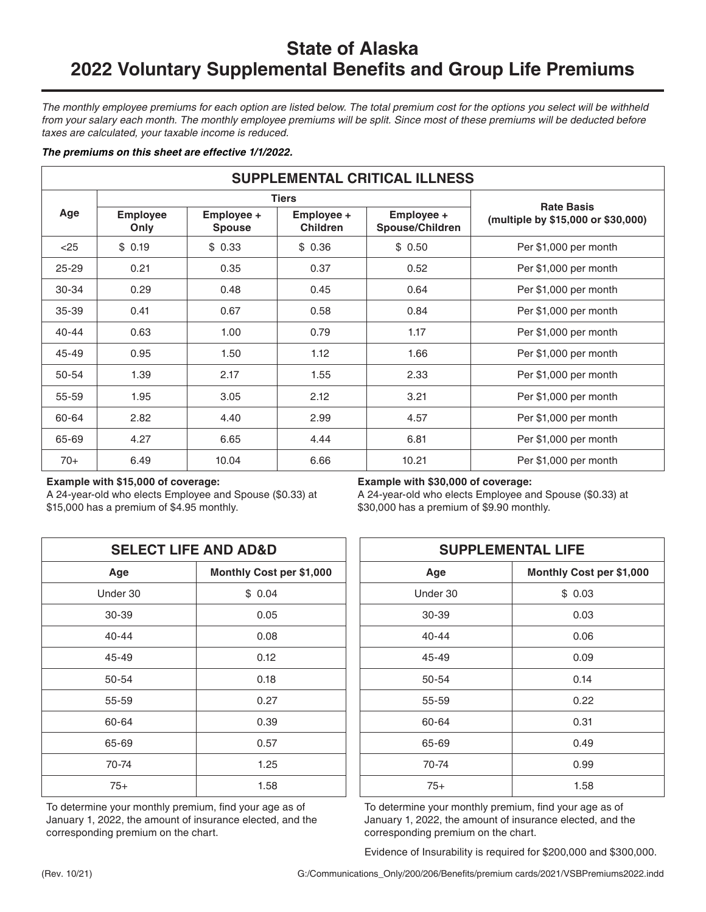# **State of Alaska 2022 Voluntary Supplemental Benefits and Group Life Premiums**

*The monthly employee premiums for each option are listed below. The total premium cost for the options you select will be withheld*  from your salary each month. The monthly employee premiums will be split. Since most of these premiums will be deducted before *taxes are calculated, your taxable income is reduced.* 

## *The premiums on this sheet are effective 1/1/2022.*

| <b>SUPPLEMENTAL CRITICAL ILLNESS</b> |                         |                             |                               |                               |                                    |  |
|--------------------------------------|-------------------------|-----------------------------|-------------------------------|-------------------------------|------------------------------------|--|
|                                      |                         | <b>Tiers</b>                | <b>Rate Basis</b>             |                               |                                    |  |
| Age                                  | <b>Employee</b><br>Only | Employee +<br><b>Spouse</b> | Employee +<br><b>Children</b> | Employee +<br>Spouse/Children | (multiple by \$15,000 or \$30,000) |  |
| $<$ 25                               | \$0.19                  | \$0.33                      | \$0.36                        | \$0.50                        | Per \$1,000 per month              |  |
| $25 - 29$                            | 0.21                    | 0.35                        | 0.37                          | 0.52                          | Per \$1,000 per month              |  |
| 30-34                                | 0.29                    | 0.48                        | 0.45                          | 0.64                          | Per \$1,000 per month              |  |
| $35 - 39$                            | 0.41                    | 0.67                        | 0.58                          | 0.84                          | Per \$1,000 per month              |  |
| $40 - 44$                            | 0.63                    | 1.00                        | 0.79                          | 1.17                          | Per \$1,000 per month              |  |
| $45 - 49$                            | 0.95                    | 1.50                        | 1.12                          | 1.66                          | Per \$1,000 per month              |  |
| $50 - 54$                            | 1.39                    | 2.17                        | 1.55                          | 2.33                          | Per \$1,000 per month              |  |
| 55-59                                | 1.95                    | 3.05                        | 2.12                          | 3.21                          | Per \$1,000 per month              |  |
| 60-64                                | 2.82                    | 4.40                        | 2.99                          | 4.57                          | Per \$1,000 per month              |  |
| 65-69                                | 4.27                    | 6.65                        | 4.44                          | 6.81                          | Per \$1,000 per month              |  |
| $70+$                                | 6.49                    | 10.04                       | 6.66                          | 10.21                         | Per \$1,000 per month              |  |

## **Example with \$15,000 of coverage:**

A 24-year-old who elects Employee and Spouse (\$0.33) at \$15,000 has a premium of \$4.95 monthly.

|           | <b>SELECT LIFE AND AD&amp;D</b> | <b>SUPPLEMENTAL LIFE</b> |                     |  |
|-----------|---------------------------------|--------------------------|---------------------|--|
| Age       | Monthly Cost per \$1,000        | Age                      | <b>Monthly Cost</b> |  |
| Under 30  | \$0.04                          | Under 30                 | \$0.03              |  |
| 30-39     | 0.05                            | 30-39                    | 0.03                |  |
| $40 - 44$ | 0.08                            | $40 - 44$                | 0.06                |  |
| $45 - 49$ | 0.12                            | 45-49                    | 0.09                |  |
| 50-54     | 0.18                            | 50-54                    | 0.14                |  |
| 55-59     | 0.27                            | 55-59                    | 0.22                |  |
| 60-64     | 0.39                            | 60-64                    | 0.31                |  |
| 65-69     | 0.57                            | 65-69                    | 0.49                |  |
| 70-74     | 1.25                            | 70-74                    | 0.99                |  |
| $75+$     | 1.58                            | $75+$                    | 1.58                |  |

To determine your monthly premium, find your age as of January 1, 2022, the amount of insurance elected, and the corresponding premium on the chart.

**Example with \$30,000 of coverage:**

A 24-year-old who elects Employee and Spouse (\$0.33) at \$30,000 has a premium of \$9.90 monthly.

| <b>SELECT LIFE AND AD&amp;D</b> |                          | <b>SUPPLEMENTAL LIFE</b> |                          |  |
|---------------------------------|--------------------------|--------------------------|--------------------------|--|
| Age                             | Monthly Cost per \$1,000 | Age                      | Monthly Cost per \$1,000 |  |
| der 30                          | \$0.04                   | Under 30                 | \$0.03                   |  |
| 30-39                           | 0.05                     | 30-39                    | 0.03                     |  |
| $0 - 44$                        | 0.08                     | $40 - 44$                | 0.06                     |  |
| $-49$                           | 0.12                     | 45-49                    | 0.09                     |  |
| $50 - 54$                       | 0.18                     | 50-54                    | 0.14                     |  |
| $5-59$                          | 0.27                     | 55-59                    | 0.22                     |  |
| $0 - 64$                        | 0.39                     | 60-64                    | 0.31                     |  |
| $5 - 69$                        | 0.57                     | 65-69                    | 0.49                     |  |
| 70-74                           | 1.25                     | 70-74                    | 0.99                     |  |
| $75+$                           | 1.58                     | $75+$                    | 1.58                     |  |

To determine your monthly premium, find your age as of January 1, 2022, the amount of insurance elected, and the corresponding premium on the chart.

Evidence of Insurability is required for \$200,000 and \$300,000.